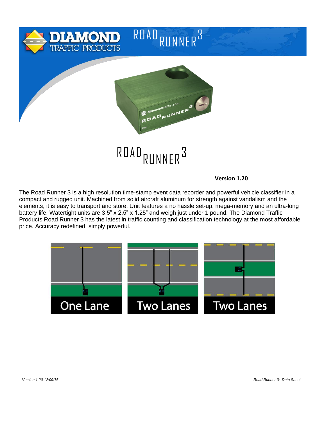

**Version 1.20**

The Road Runner 3 is a high resolution time-stamp event data recorder and powerful vehicle classifier in a compact and rugged unit. Machined from solid aircraft aluminum for strength against vandalism and the elements, it is easy to transport and store. Unit features a no hassle set-up, mega-memory and an ultra-long battery life. Watertight units are 3.5" x 2.5" x 1.25" and weigh just under 1 pound. The Diamond Traffic Products Road Runner 3 has the latest in traffic counting and classification technology at the most affordable price. Accuracy redefined; simply powerful.